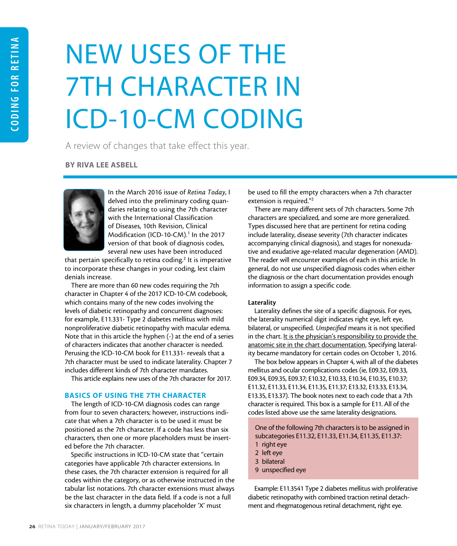# NEW USES OF THE 7TH CHARACTER IN ICD-10-CM CODING

A review of changes that take effect this year.

BY RIVA LEE ASBELL



In the March 2016 issue of *Retina Today*, I delved into the preliminary coding quandaries relating to using the 7th character with the International Classification of Diseases, 10th Revision, Clinical Modification (ICD-10-CM).<sup>1</sup> In the 2017 version of that book of diagnosis codes, several new uses have been introduced

that pertain specifically to retina coding.<sup>2</sup> It is imperative to incorporate these changes in your coding, lest claim denials increase.

There are more than 60 new codes requiring the 7th character in Chapter 4 of the 2017 ICD-10-CM codebook, which contains many of the new codes involving the levels of diabetic retinopathy and concurrent diagnoses: for example, E11.331- Type 2 diabetes mellitus with mild nonproliferative diabetic retinopathy with macular edema. Note that in this article the hyphen (-) at the end of a series of characters indicates that another character is needed. Perusing the ICD-10-CM book for E11.331- reveals that a 7th character must be used to indicate laterality. Chapter 7 includes different kinds of 7th character mandates.

This article explains new uses of the 7th character for 2017.

## BASICS OF USING THE 7TH CHARACTER

The length of ICD-10-CM diagnosis codes can range from four to seven characters; however, instructions indicate that when a 7th character is to be used it must be positioned as the 7th character. If a code has less than six characters, then one or more placeholders must be inserted before the 7th character.

Specific instructions in ICD-10-CM state that "certain categories have applicable 7th character extensions. In these cases, the 7th character extension is required for all codes within the category, or as otherwise instructed in the tabular list notations. 7th character extensions must always be the last character in the data field. If a code is not a full six characters in length, a dummy placeholder 'X' must

be used to fill the empty characters when a 7th character extension is required."2

There are many different sets of 7th characters. Some 7th characters are specialized, and some are more generalized. Types discussed here that are pertinent for retina coding include laterality, disease severity (7th character indicates accompanying clinical diagnosis), and stages for nonexudative and exudative age-related macular degeneration (AMD). The reader will encounter examples of each in this article. In general, do not use unspecified diagnosis codes when either the diagnosis or the chart documentation provides enough information to assign a specific code.

#### Laterality

Laterality defines the site of a specific diagnosis. For eyes, the laterality numerical digit indicates right eye, left eye, bilateral, or unspecified. *Unspecified* means it is not specified in the chart. It is the physician's responsibility to provide the anatomic site in the chart documentation. Specifying laterality became mandatory for certain codes on October 1, 2016.

The box below appears in Chapter 4, with all of the diabetes mellitus and ocular complications codes (ie, E09.32, E09.33, E09.34, E09.35, E09.37; E10.32, E10.33, E10.34, E10.35, E10.37; E11.32, E11.33, E11.34, E11.35, E11.37; E13.32, E13.33, E13.34, E13.35, E13.37). The book notes next to each code that a 7th character is required. This box is a sample for E11. All of the codes listed above use the same laterality designations.

One of the following 7th characters is to be assigned in subcategories E11.32, E11.33, E11.34, E11.35, E11.37:

- 1 right eye
- 2 left eye
- 3 bilateral
- 9 unspecified eye

Example: E11.3541 Type 2 diabetes mellitus with proliferative diabetic retinopathy with combined traction retinal detachment and rhegmatogenous retinal detachment, right eye.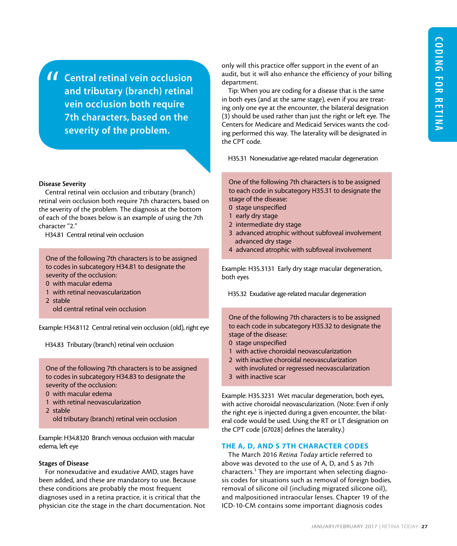Central retinal vein occlusion and tributary (branch) retinal vein occlusion both require 7th characters, based on the severity of the problem. "

### Disease Severity

Central retinal vein occlusion and tributary (branch) retinal vein occlusion both require 7th characters, based on the severity of the problem. The diagnosis at the bottom of each of the boxes below is an example of using the 7th character "2."

H34.81 Central retinal vein occlusion

One of the following 7th characters is to be assigned to codes in subcategory H34.81 to designate the severity of the occlusion:

- 0 with macular edema
- 1 with retinal neovascularization
- 2 stable
	- old central retinal vein occlusion

Example: H34.8112 Central retinal vein occlusion (old), right eye

H34.83 Tributary (branch) retinal vein occlusion

One of the following 7th characters is to be assigned to codes in subcategory H34.83 to designate the severity of the occlusion:

- 0 with macular edema
- 1 with retinal neovascularization
- 2 stable
	- old tributary (branch) retinal vein occlusion

Example: H34.8320 Branch venous occlusion with macular edema, left eye

### Stages of Disease

For nonexudative and exudative AMD, stages have been added, and these are mandatory to use. Because these conditions are probably the most frequent diagnoses used in a retina practice, it is critical that the physician cite the stage in the chart documentation. Not only will this practice offer support in the event of an audit, but it will also enhance the efficiency of your billing department.

Tip: When you are coding for a disease that is the same in both eyes (and at the same stage), even if you are treating only one eye at the encounter, the bilateral designation (3) should be used rather than just the right or left eye. The Centers for Medicare and Medicaid Services wants the coding performed this way. The laterality will be designated in the CPT code.

H35.31 Nonexudative age-related macular degeneration

One of the following 7th characters is to be assigned to each code in subcategory H35.31 to designate the stage of the disease:

- 0 stage unspecified
- 1 early dry stage
- 2 intermediate dry stage
- 3 advanced atrophic without subfoveal involvement advanced dry stage
- 4 advanced atrophic with subfoveal involvement

Example: H35.3131 Early dry stage macular degeneration, both eyes

H35.32 Exudative age-related macular degeneration

One of the following 7th characters is to be assigned to each code in subcategory H35.32 to designate the stage of the disease:

- 0 stage unspecified
- 1 with active choroidal neovascularization
- 2 with inactive choroidal neovascularization
- with involuted or regressed neovascularization 3 with inactive scar

Example: H35.3231 Wet macular degeneration, both eyes, with active choroidal neovascularization. (Note: Even if only the right eye is injected during a given encounter, the bilateral code would be used. Using the RT or LT designation on the CPT code [67028] defines the laterality.)

## THE A, D, AND S 7TH CHARACTER CODES

The March 2016 *Retina Today* article referred to above was devoted to the use of A, D, and S as 7th characters.1 They are important when selecting diagnosis codes for situations such as removal of foreign bodies, removal of silicone oil (including migrated silicone oil), and malpositioned intraocular lenses. Chapter 19 of the ICD-10-CM contains some important diagnosis codes